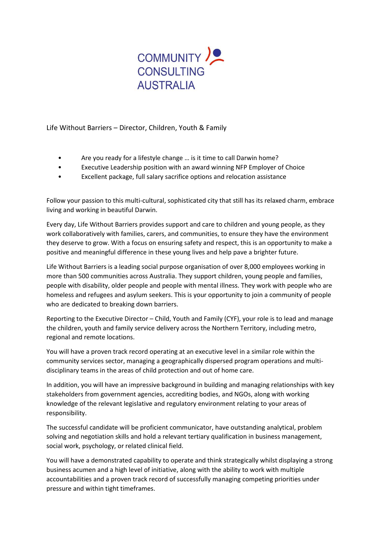

Life Without Barriers – Director, Children, Youth & Family

- Are you ready for a lifestyle change … is it time to call Darwin home?
- Executive Leadership position with an award winning NFP Employer of Choice
- Excellent package, full salary sacrifice options and relocation assistance

Follow your passion to this multi-cultural, sophisticated city that still has its relaxed charm, embrace living and working in beautiful Darwin.

Every day, Life Without Barriers provides support and care to children and young people, as they work collaboratively with families, carers, and communities, to ensure they have the environment they deserve to grow. With a focus on ensuring safety and respect, this is an opportunity to make a positive and meaningful difference in these young lives and help pave a brighter future.

Life Without Barriers is a leading social purpose organisation of over 8,000 employees working in more than 500 communities across Australia. They support children, young people and families, people with disability, older people and people with mental illness. They work with people who are homeless and refugees and asylum seekers. This is your opportunity to join a community of people who are dedicated to breaking down barriers.

Reporting to the Executive Director – Child, Youth and Family (CYF), your role is to lead and manage the children, youth and family service delivery across the Northern Territory, including metro, regional and remote locations.

You will have a proven track record operating at an executive level in a similar role within the community services sector, managing a geographically dispersed program operations and multidisciplinary teams in the areas of child protection and out of home care.

In addition, you will have an impressive background in building and managing relationships with key stakeholders from government agencies, accrediting bodies, and NGOs, along with working knowledge of the relevant legislative and regulatory environment relating to your areas of responsibility.

The successful candidate will be proficient communicator, have outstanding analytical, problem solving and negotiation skills and hold a relevant tertiary qualification in business management, social work, psychology, or related clinical field.

You will have a demonstrated capability to operate and think strategically whilst displaying a strong business acumen and a high level of initiative, along with the ability to work with multiple accountabilities and a proven track record of successfully managing competing priorities under pressure and within tight timeframes.